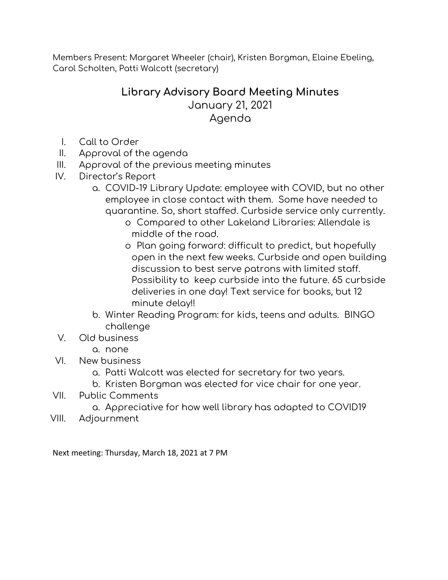Members Present: Margaret Wheeler (chair), Kristen Borgman, Elaine Ebeling, Carol Scholten, Patti Walcott (secretary)

## **Library Advisory Board Meeting Minutes**

January 21, 2021 Agenda

- I. Call to Order
- II. Approval of the agenda
- III. Approval of the previous meeting minutes
- IV. Director's Report
	- a. COVID-19 Library Update: employee with COVID, but no other employee in close contact with them. Some have needed to quarantine. So, short staffed. Curbside service only currently.
		- o Compared to other Lakeland Libraries: Allendale is middle of the road.
		- o Plan going forward: difficult to predict, but hopefully open in the next few weeks. Curbside and open building discussion to best serve patrons with limited staff. Possibility to keep curbside into the future. 65 curbside deliveries in one day! Text service for books, but 12 minute delay!!
	- b. Winter Reading Program: for kids, teens and adults. BINGO challenge
- V. Old business
	- a. none
- VI. New business
	- a. Patti Walcott was elected for secretary for two years.
	- b. Kristen Borgman was elected for vice chair for one year.
- VII. Public Comments
	- a. Appreciative for how well library has adapted to COVID19
- VIII. Adjournment

Next meeting: Thursday, March 18, 2021 at 7 PM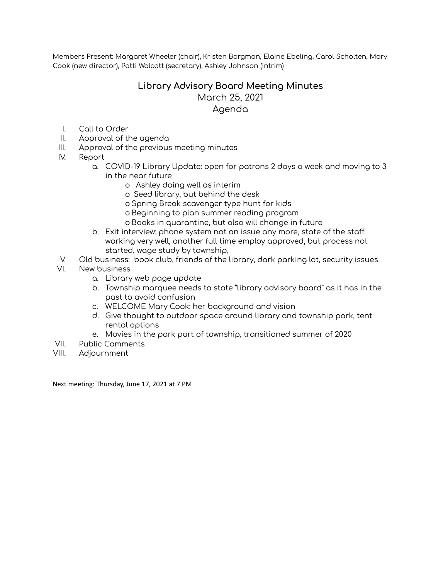Members Present: Margaret Wheeler (chair), Kristen Borgman, Elaine Ebeling, Carol Scholten, Mary Cook (new director), Patti Walcott (secretary), Ashley Johnson (intrim)

## **Library Advisory Board Meeting Minutes** March 25, 2021 Agenda

- I. Call to Order
- II. Approval of the agenda
- III. Approval of the previous meeting minutes
- IV. Report
	- a. COVID-19 Library Update: open for patrons 2 days a week and moving to 3 in the near future
		- o Ashley doing well as interim
		- o Seed library, but behind the desk
		- o Spring Break scavenger type hunt for kids
		- o Beginning to plan summer reading program
		- o Books in quarantine, but also will change in future
	- b. Exit interview: phone system not an issue any more, state of the staff working very well, another full time employ approved, but process not started, wage study by township,
- V. Old business: book club, friends of the library, dark parking lot, security issues
- VI. New business
	- a. Library web page update
	- b. Township marquee needs to state "library advisory board" as it has in the past to avoid confusion
	- c. WELCOME Mary Cook: her background and vision
	- d. Give thought to outdoor space around library and township park, tent rental options
	- e. Movies in the park part of township, transitioned summer of 2020
- VII. Public Comments
- VIII. Adjournment

Next meeting: Thursday, June 17, 2021 at 7 PM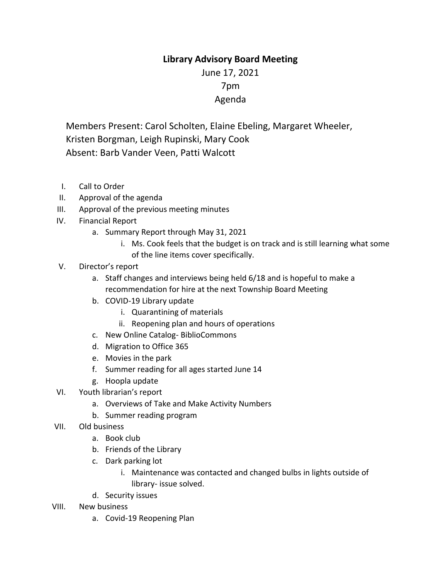## **Library Advisory Board Meeting**

June 17, 2021 7pm Agenda

Members Present: Carol Scholten, Elaine Ebeling, Margaret Wheeler, Kristen Borgman, Leigh Rupinski, Mary Cook Absent: Barb Vander Veen, Patti Walcott

- I. Call to Order
- II. Approval of the agenda
- III. Approval of the previous meeting minutes
- IV. Financial Report
	- a. Summary Report through May 31, 2021
		- i. Ms. Cook feels that the budget is on track and is still learning what some of the line items cover specifically.
- V. Director's report
	- a. Staff changes and interviews being held 6/18 and is hopeful to make a recommendation for hire at the next Township Board Meeting
	- b. COVID-19 Library update
		- i. Quarantining of materials
		- ii. Reopening plan and hours of operations
	- c. New Online Catalog- BiblioCommons
	- d. Migration to Office 365
	- e. Movies in the park
	- f. Summer reading for all ages started June 14
	- g. Hoopla update
- VI. Youth librarian's report
	- a. Overviews of Take and Make Activity Numbers
	- b. Summer reading program
- VII. Old business
	- a. Book club
	- b. Friends of the Library
	- c. Dark parking lot
		- i. Maintenance was contacted and changed bulbs in lights outside of library- issue solved.
	- d. Security issues
- VIII. New business
	- a. Covid-19 Reopening Plan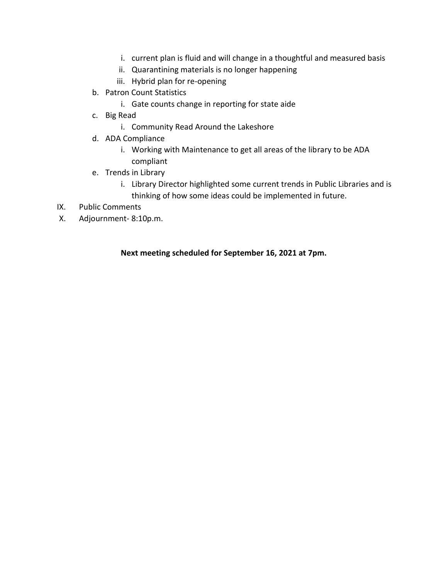- i. current plan is fluid and will change in a thoughtful and measured basis
- ii. Quarantining materials is no longer happening
- iii. Hybrid plan for re-opening
- b. Patron Count Statistics
	- i. Gate counts change in reporting for state aide
- c. Big Read
	- i. Community Read Around the Lakeshore
- d. ADA Compliance
	- i. Working with Maintenance to get all areas of the library to be ADA compliant
- e. Trends in Library
	- i. Library Director highlighted some current trends in Public Libraries and is thinking of how some ideas could be implemented in future.
- IX. Public Comments
- X. Adjournment- 8:10p.m.

**Next meeting scheduled for September 16, 2021 at 7pm.**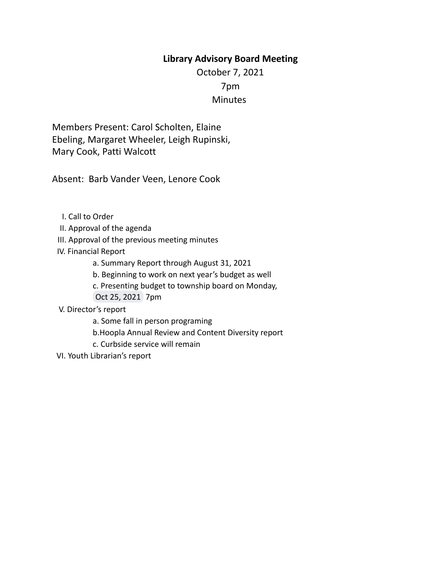## **Library Advisory Board Meeting**

October 7, 2021 7pm **Minutes** 

Members Present: Carol Scholten, Elaine Ebeling, Margaret Wheeler, Leigh Rupinski, Mary Cook, Patti Walcott

Absent: Barb Vander Veen, Lenore Cook

- I. Call to Order
- II. Approval of the agenda
- III. Approval of the previous meeting minutes
- IV. Financial Report
	- a. Summary Report through August 31, 2021
	- b. Beginning to work on next year's budget as well
	- c. Presenting budget to township board on Monday,
	- Oct 25, 2021 7pm
- V. Director's report
	- a. Some fall in person programing
	- b.Hoopla Annual Review and Content Diversity report
	- c. Curbside service will remain
- VI. Youth Librarian's report